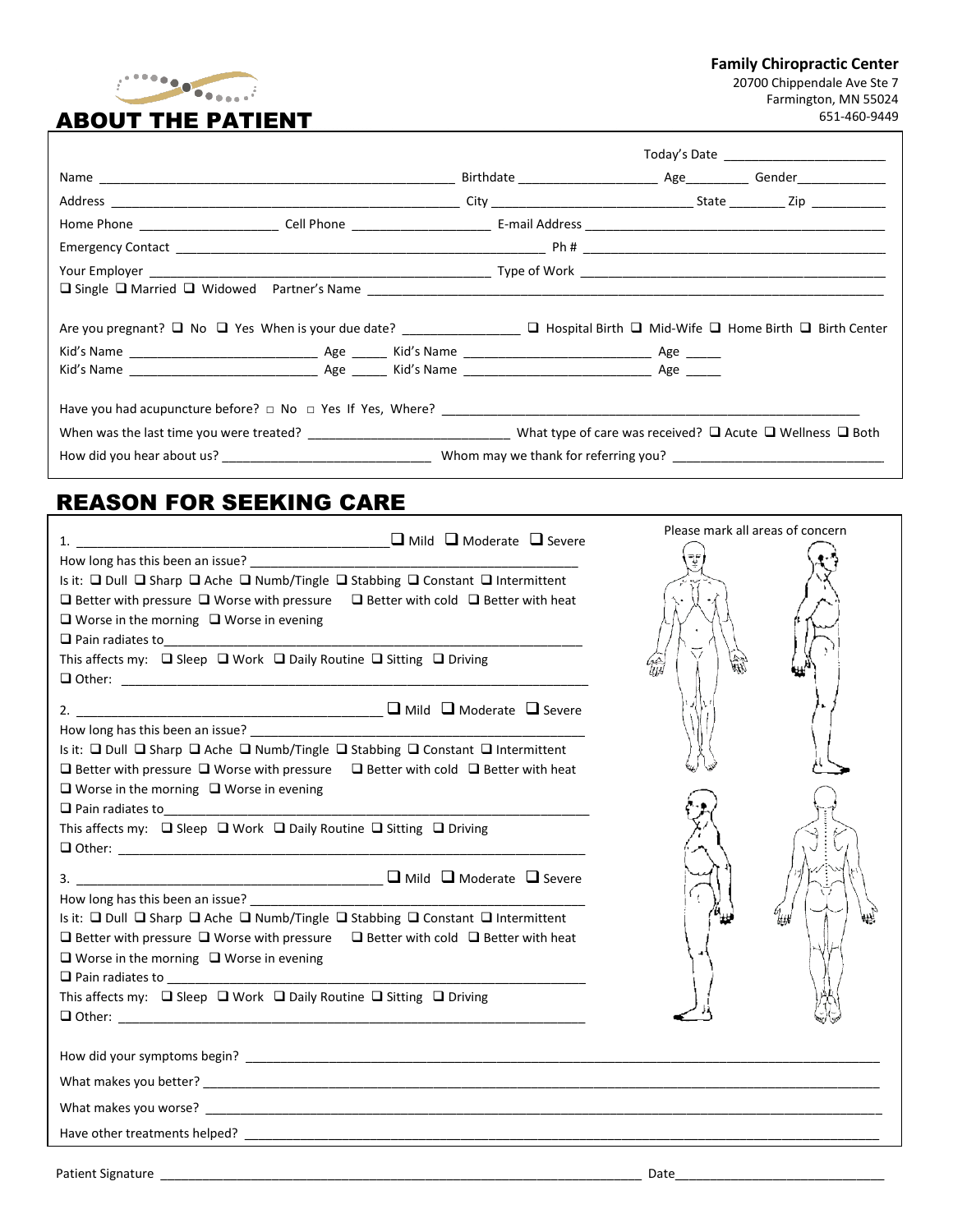

## ABOUT THE PATIENT

**Family Chiropractic Center**

20700 Chippendale Ave Ste 7 Farmington, MN 55024 651-460-9449

 $\overline{\phantom{a}}$ 

|  |  | Today's Date and the control of the control of the control of the control of the control of the control of the |
|--|--|----------------------------------------------------------------------------------------------------------------|
|  |  |                                                                                                                |
|  |  |                                                                                                                |
|  |  |                                                                                                                |
|  |  |                                                                                                                |
|  |  |                                                                                                                |
|  |  |                                                                                                                |
|  |  |                                                                                                                |
|  |  |                                                                                                                |
|  |  |                                                                                                                |
|  |  |                                                                                                                |
|  |  |                                                                                                                |

### REASON FOR SEEKING CARE

| <b>□ Mild □ Moderate □ Severe</b><br>1.                                                                                                                                                                                                                                             | Please mark all areas of concern |  |
|-------------------------------------------------------------------------------------------------------------------------------------------------------------------------------------------------------------------------------------------------------------------------------------|----------------------------------|--|
|                                                                                                                                                                                                                                                                                     |                                  |  |
| Is it: □ Dull □ Sharp □ Ache □ Numb/Tingle □ Stabbing □ Constant □ Intermittent<br>$\Box$ Better with pressure $\Box$ Worse with pressure $\Box$ Better with cold $\Box$ Better with heat<br>$\Box$ Worse in the morning $\Box$ Worse in evening                                    |                                  |  |
| This affects my: $\Box$ Sleep $\Box$ Work $\Box$ Daily Routine $\Box$ Sitting $\Box$ Driving                                                                                                                                                                                        | 儭                                |  |
|                                                                                                                                                                                                                                                                                     |                                  |  |
| Is it: □ Dull □ Sharp □ Ache □ Numb/Tingle □ Stabbing □ Constant □ Intermittent<br>$\Box$ Better with pressure $\Box$ Worse with pressure $\Box$ Better with cold $\Box$ Better with heat                                                                                           |                                  |  |
| $\Box$ Worse in the morning $\Box$ Worse in evening<br>Pain radiates to<br>Pain radiates to<br>Pain radiates to                                                                                                                                                                     |                                  |  |
| This affects my: $\Box$ Sleep $\Box$ Work $\Box$ Daily Routine $\Box$ Sitting $\Box$ Driving                                                                                                                                                                                        |                                  |  |
|                                                                                                                                                                                                                                                                                     |                                  |  |
| Is it: $\Box$ Dull $\Box$ Sharp $\Box$ Ache $\Box$ Numb/Tingle $\Box$ Stabbing $\Box$ Constant $\Box$ Intermittent<br>$\Box$ Better with pressure $\Box$ Worse with pressure $\Box$ Better with cold $\Box$ Better with heat<br>$\Box$ Worse in the morning $\Box$ Worse in evening |                                  |  |
| This affects my: □ Sleep □ Work □ Daily Routine □ Sitting □ Driving                                                                                                                                                                                                                 |                                  |  |
|                                                                                                                                                                                                                                                                                     |                                  |  |
|                                                                                                                                                                                                                                                                                     |                                  |  |
|                                                                                                                                                                                                                                                                                     |                                  |  |
|                                                                                                                                                                                                                                                                                     |                                  |  |
|                                                                                                                                                                                                                                                                                     | Date                             |  |
|                                                                                                                                                                                                                                                                                     |                                  |  |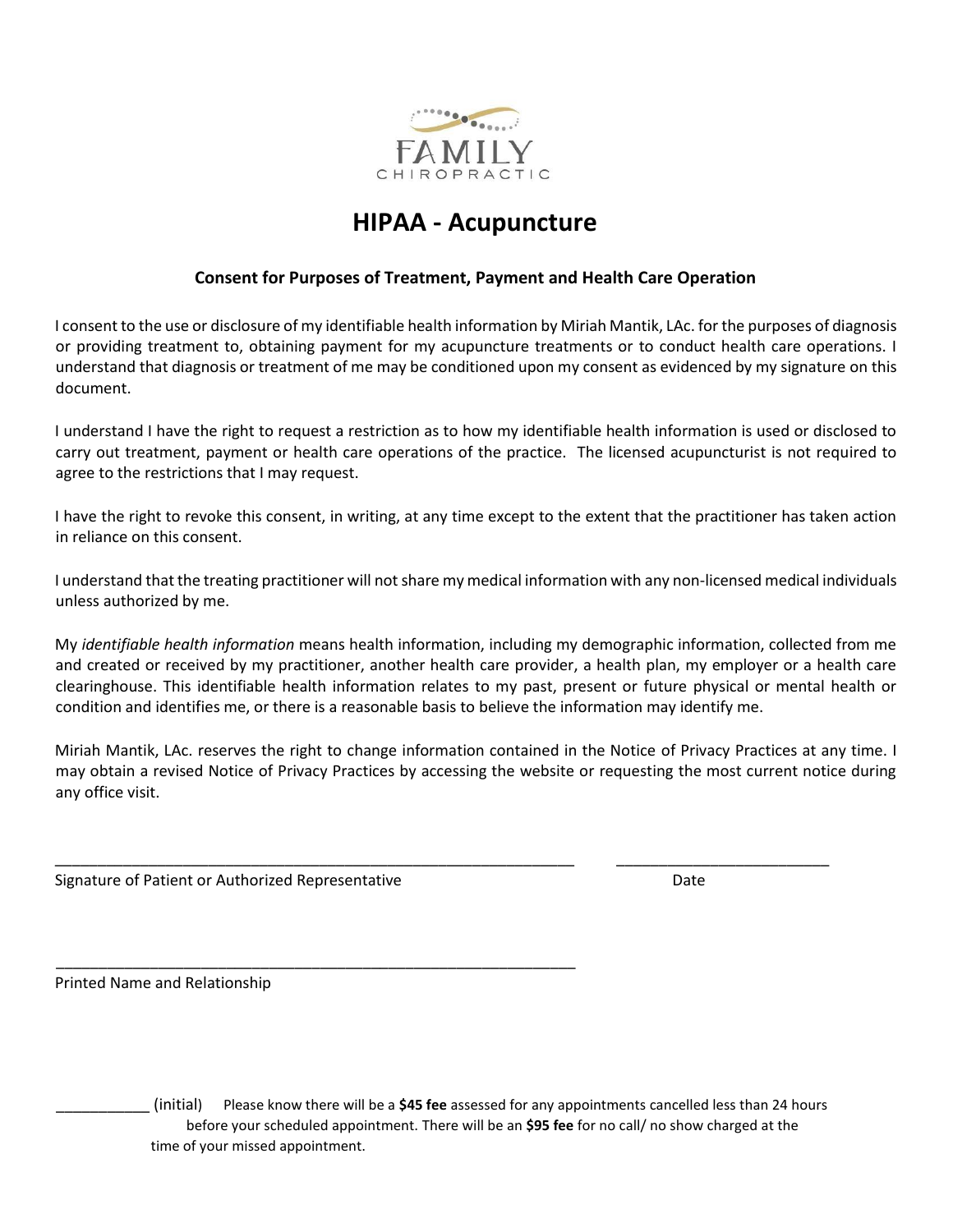

# **HIPAA - Acupuncture**

#### **Consent for Purposes of Treatment, Payment and Health Care Operation**

I consent to the use or disclosure of my identifiable health information by Miriah Mantik, LAc. for the purposes of diagnosis or providing treatment to, obtaining payment for my acupuncture treatments or to conduct health care operations. I understand that diagnosis or treatment of me may be conditioned upon my consent as evidenced by my signature on this document.

I understand I have the right to request a restriction as to how my identifiable health information is used or disclosed to carry out treatment, payment or health care operations of the practice. The licensed acupuncturist is not required to agree to the restrictions that I may request.

I have the right to revoke this consent, in writing, at any time except to the extent that the practitioner has taken action in reliance on this consent.

I understand that the treating practitioner will not share my medical information with any non-licensed medical individuals unless authorized by me.

My *identifiable health information* means health information, including my demographic information, collected from me and created or received by my practitioner, another health care provider, a health plan, my employer or a health care clearinghouse. This identifiable health information relates to my past, present or future physical or mental health or condition and identifies me, or there is a reasonable basis to believe the information may identify me.

Miriah Mantik, LAc. reserves the right to change information contained in the Notice of Privacy Practices at any time. I may obtain a revised Notice of Privacy Practices by accessing the website or requesting the most current notice during any office visit.

\_\_\_\_\_\_\_\_\_\_\_\_\_\_\_\_\_\_\_\_\_\_\_\_\_\_\_\_\_\_\_\_\_\_\_\_\_\_\_\_\_\_\_\_\_\_\_\_\_\_\_\_\_\_\_\_\_\_\_\_\_ \_\_\_\_\_\_\_\_\_\_\_\_\_\_\_\_\_\_\_\_\_\_\_\_\_

Signature of Patient or Authorized Representative **Date** Date

\_\_\_\_\_\_\_\_\_\_\_\_\_\_\_\_\_\_\_\_\_\_\_\_\_\_\_\_\_\_\_\_\_\_\_\_\_\_\_\_\_\_\_\_\_\_\_\_\_\_\_\_\_\_\_\_\_\_\_\_\_

Printed Name and Relationship

\_\_\_\_\_\_\_\_\_\_\_ (initial) Please know there will be a **\$45 fee** assessed for any appointments cancelled less than 24 hours before your scheduled appointment. There will be an **\$95 fee** for no call/ no show charged at the time of your missed appointment.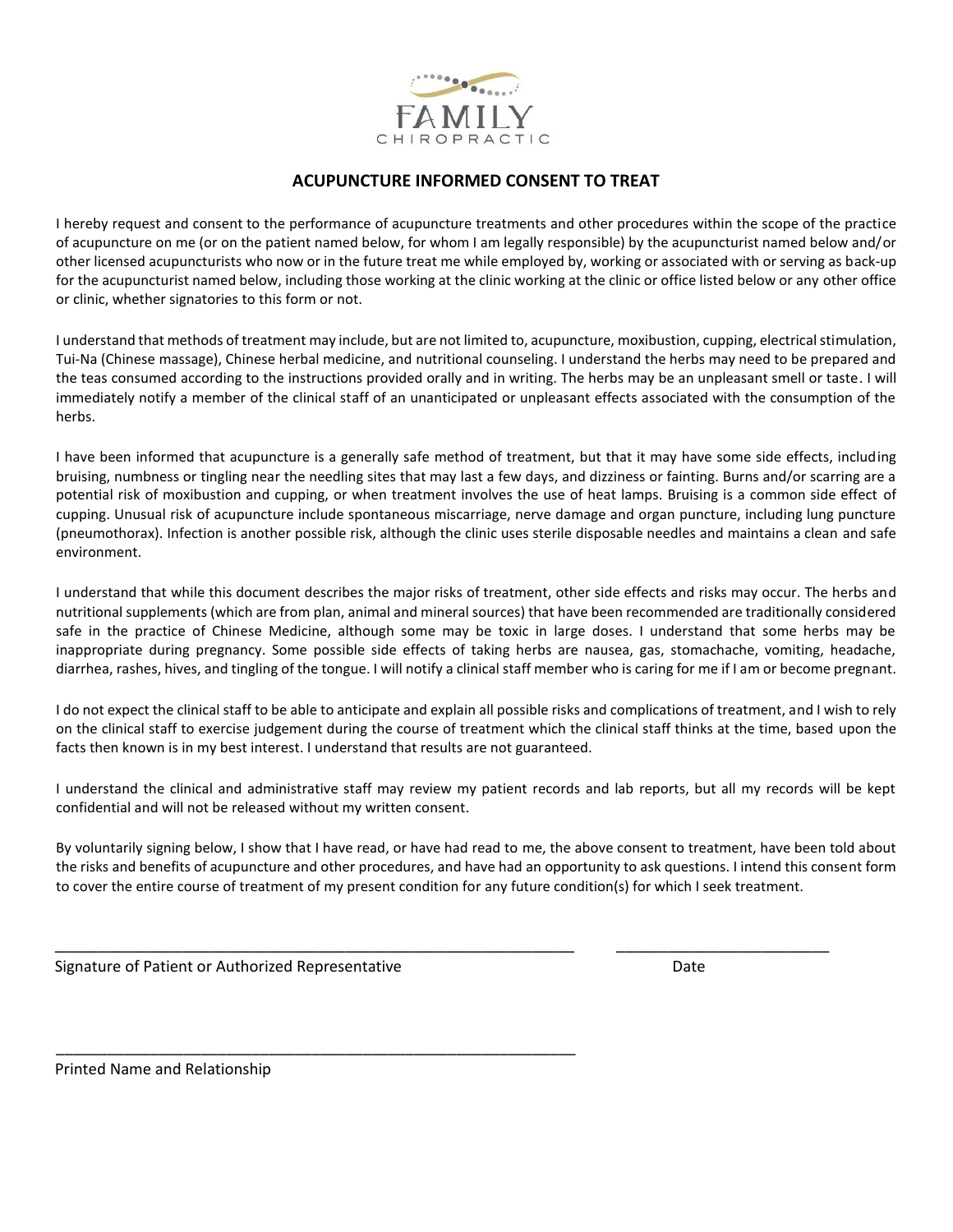

#### **ACUPUNCTURE INFORMED CONSENT TO TREAT**

I hereby request and consent to the performance of acupuncture treatments and other procedures within the scope of the practice of acupuncture on me (or on the patient named below, for whom I am legally responsible) by the acupuncturist named below and/or other licensed acupuncturists who now or in the future treat me while employed by, working or associated with or serving as back-up for the acupuncturist named below, including those working at the clinic working at the clinic or office listed below or any other office or clinic, whether signatories to this form or not.

I understand that methods of treatment may include, but are not limited to, acupuncture, moxibustion, cupping, electrical stimulation, Tui-Na (Chinese massage), Chinese herbal medicine, and nutritional counseling. I understand the herbs may need to be prepared and the teas consumed according to the instructions provided orally and in writing. The herbs may be an unpleasant smell or taste. I will immediately notify a member of the clinical staff of an unanticipated or unpleasant effects associated with the consumption of the herbs.

I have been informed that acupuncture is a generally safe method of treatment, but that it may have some side effects, including bruising, numbness or tingling near the needling sites that may last a few days, and dizziness or fainting. Burns and/or scarring are a potential risk of moxibustion and cupping, or when treatment involves the use of heat lamps. Bruising is a common side effect of cupping. Unusual risk of acupuncture include spontaneous miscarriage, nerve damage and organ puncture, including lung puncture (pneumothorax). Infection is another possible risk, although the clinic uses sterile disposable needles and maintains a clean and safe environment.

I understand that while this document describes the major risks of treatment, other side effects and risks may occur. The herbs and nutritional supplements (which are from plan, animal and mineral sources) that have been recommended are traditionally considered safe in the practice of Chinese Medicine, although some may be toxic in large doses. I understand that some herbs may be inappropriate during pregnancy. Some possible side effects of taking herbs are nausea, gas, stomachache, vomiting, headache, diarrhea, rashes, hives, and tingling of the tongue. I will notify a clinical staff member who is caring for me if I am or become pregnant.

I do not expect the clinical staff to be able to anticipate and explain all possible risks and complications of treatment, and I wish to rely on the clinical staff to exercise judgement during the course of treatment which the clinical staff thinks at the time, based upon the facts then known is in my best interest. I understand that results are not guaranteed.

I understand the clinical and administrative staff may review my patient records and lab reports, but all my records will be kept confidential and will not be released without my written consent.

By voluntarily signing below, I show that I have read, or have had read to me, the above consent to treatment, have been told about the risks and benefits of acupuncture and other procedures, and have had an opportunity to ask questions. I intend this consent form to cover the entire course of treatment of my present condition for any future condition(s) for which I seek treatment.

\_\_\_\_\_\_\_\_\_\_\_\_\_\_\_\_\_\_\_\_\_\_\_\_\_\_\_\_\_\_\_\_\_\_\_\_\_\_\_\_\_\_\_\_\_\_\_\_\_\_\_\_\_\_\_\_\_\_\_\_\_ \_\_\_\_\_\_\_\_\_\_\_\_\_\_\_\_\_\_\_\_\_\_\_\_\_

Signature of Patient or Authorized Representative **Date** Date

\_\_\_\_\_\_\_\_\_\_\_\_\_\_\_\_\_\_\_\_\_\_\_\_\_\_\_\_\_\_\_\_\_\_\_\_\_\_\_\_\_\_\_\_\_\_\_\_\_\_\_\_\_\_\_\_\_\_\_\_\_

Printed Name and Relationship